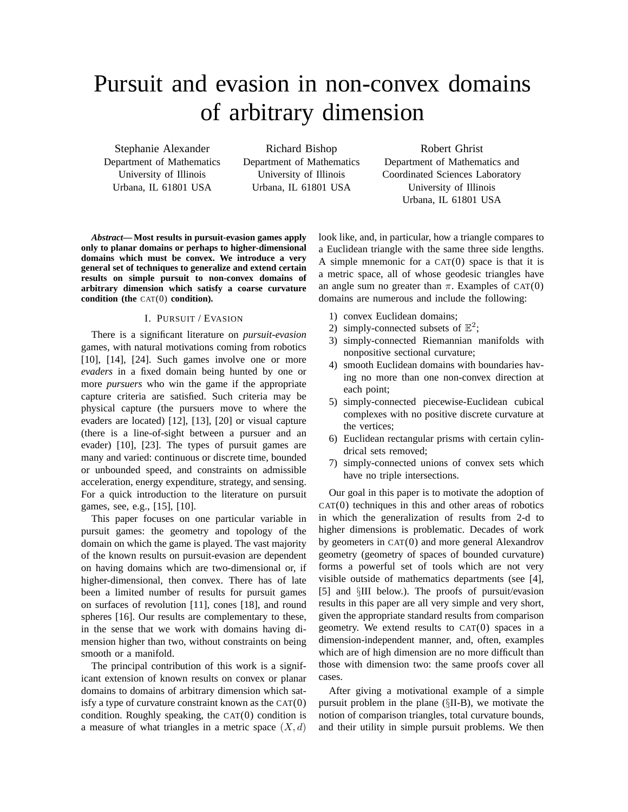# Pursuit and evasion in non-convex domains of arbitrary dimension

Stephanie Alexander Department of Mathematics University of Illinois Urbana, IL 61801 USA

Richard Bishop Department of Mathematics University of Illinois Urbana, IL 61801 USA

Robert Ghrist Department of Mathematics and Coordinated Sciences Laboratory University of Illinois Urbana, IL 61801 USA

*Abstract***— Most results in pursuit-evasion games apply only to planar domains or perhaps to higher-dimensional domains which must be convex. We introduce a very general set of techniques to generalize and extend certain results on simple pursuit to non-convex domains of arbitrary dimension which satisfy a coarse curvature condition (the** CAT(0) **condition).**

#### I. PURSUIT / EVASION

There is a significant literature on *pursuit-evasion* games, with natural motivations coming from robotics [10], [14], [24]. Such games involve one or more *evaders* in a fixed domain being hunted by one or more *pursuers* who win the game if the appropriate capture criteria are satisfied. Such criteria may be physical capture (the pursuers move to where the evaders are located) [12], [13], [20] or visual capture (there is a line-of-sight between a pursuer and an evader) [10], [23]. The types of pursuit games are many and varied: continuous or discrete time, bounded or unbounded speed, and constraints on admissible acceleration, energy expenditure, strategy, and sensing. For a quick introduction to the literature on pursuit games, see, e.g., [15], [10].

This paper focuses on one particular variable in pursuit games: the geometry and topology of the domain on which the game is played. The vast majority of the known results on pursuit-evasion are dependent on having domains which are two-dimensional or, if higher-dimensional, then convex. There has of late been a limited number of results for pursuit games on surfaces of revolution [11], cones [18], and round spheres [16]. Our results are complementary to these, in the sense that we work with domains having dimension higher than two, without constraints on being smooth or a manifold.

The principal contribution of this work is a significant extension of known results on convex or planar domains to domains of arbitrary dimension which satisfy a type of curvature constraint known as the  $CAT(0)$ condition. Roughly speaking, the CAT(0) condition is a measure of what triangles in a metric space  $(X, d)$ 

look like, and, in particular, how a triangle compares to a Euclidean triangle with the same three side lengths. A simple mnemonic for a  $CAT(0)$  space is that it is a metric space, all of whose geodesic triangles have an angle sum no greater than  $\pi$ . Examples of CAT(0) domains are numerous and include the following:

- 1) convex Euclidean domains;
- 2) simply-connected subsets of  $\mathbb{E}^2$ ;
- 3) simply-connected Riemannian manifolds with nonpositive sectional curvature;
- 4) smooth Euclidean domains with boundaries having no more than one non-convex direction at each point;
- 5) simply-connected piecewise-Euclidean cubical complexes with no positive discrete curvature at the vertices;
- 6) Euclidean rectangular prisms with certain cylindrical sets removed;
- 7) simply-connected unions of convex sets which have no triple intersections.

Our goal in this paper is to motivate the adoption of  $CAT(0)$  techniques in this and other areas of robotics in which the generalization of results from 2-d to higher dimensions is problematic. Decades of work by geometers in CAT(0) and more general Alexandrov geometry (geometry of spaces of bounded curvature) forms a powerful set of tools which are not very visible outside of mathematics departments (see [4], [5] and §III below.). The proofs of pursuit/evasion results in this paper are all very simple and very short, given the appropriate standard results from comparison geometry. We extend results to  $CAT(0)$  spaces in a dimension-independent manner, and, often, examples which are of high dimension are no more difficult than those with dimension two: the same proofs cover all cases.

After giving a motivational example of a simple pursuit problem in the plane (§II-B), we motivate the notion of comparison triangles, total curvature bounds, and their utility in simple pursuit problems. We then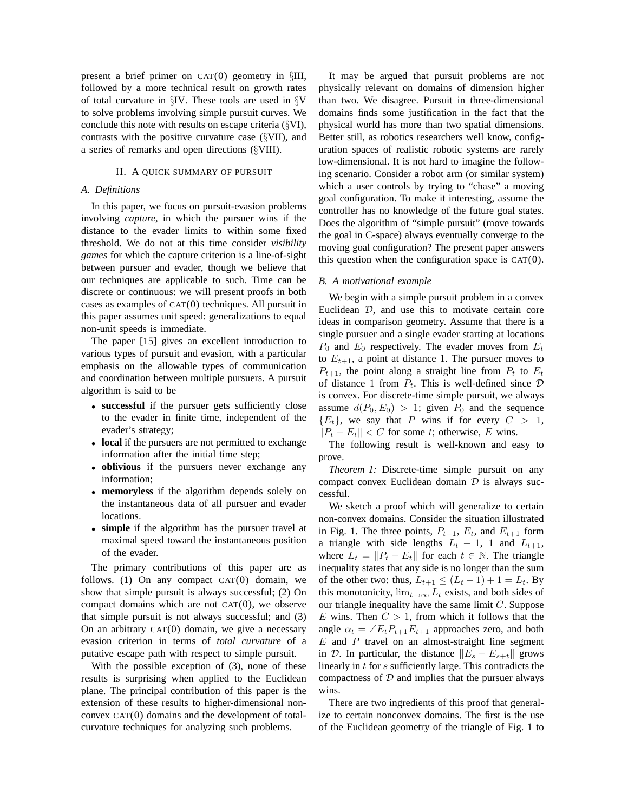present a brief primer on CAT(0) geometry in §III, followed by a more technical result on growth rates of total curvature in §IV. These tools are used in §V to solve problems involving simple pursuit curves. We conclude this note with results on escape criteria (§VI), contrasts with the positive curvature case (§VII), and a series of remarks and open directions (§VIII).

#### II. A QUICK SUMMARY OF PURSUIT

#### *A. Definitions*

In this paper, we focus on pursuit-evasion problems involving *capture*, in which the pursuer wins if the distance to the evader limits to within some fixed threshold. We do not at this time consider *visibility games* for which the capture criterion is a line-of-sight between pursuer and evader, though we believe that our techniques are applicable to such. Time can be discrete or continuous: we will present proofs in both cases as examples of CAT(0) techniques. All pursuit in this paper assumes unit speed: generalizations to equal non-unit speeds is immediate.

The paper [15] gives an excellent introduction to various types of pursuit and evasion, with a particular emphasis on the allowable types of communication and coordination between multiple pursuers. A pursuit algorithm is said to be

- **successful** if the pursuer gets sufficiently close to the evader in finite time, independent of the evader's strategy;
- **local** if the pursuers are not permitted to exchange information after the initial time step;
- **oblivious** if the pursuers never exchange any information;
- **memoryless** if the algorithm depends solely on the instantaneous data of all pursuer and evader locations.
- **simple** if the algorithm has the pursuer travel at maximal speed toward the instantaneous position of the evader.

The primary contributions of this paper are as follows. (1) On any compact  $CAT(0)$  domain, we show that simple pursuit is always successful; (2) On compact domains which are not  $CAT(0)$ , we observe that simple pursuit is not always successful; and (3) On an arbitrary  $CAT(0)$  domain, we give a necessary evasion criterion in terms of *total curvature* of a putative escape path with respect to simple pursuit.

With the possible exception of (3), none of these results is surprising when applied to the Euclidean plane. The principal contribution of this paper is the extension of these results to higher-dimensional nonconvex CAT(0) domains and the development of totalcurvature techniques for analyzing such problems.

It may be argued that pursuit problems are not physically relevant on domains of dimension higher than two. We disagree. Pursuit in three-dimensional domains finds some justification in the fact that the physical world has more than two spatial dimensions. Better still, as robotics researchers well know, configuration spaces of realistic robotic systems are rarely low-dimensional. It is not hard to imagine the following scenario. Consider a robot arm (or similar system) which a user controls by trying to "chase" a moving goal configuration. To make it interesting, assume the controller has no knowledge of the future goal states. Does the algorithm of "simple pursuit" (move towards the goal in C-space) always eventually converge to the moving goal configuration? The present paper answers this question when the configuration space is  $CAT(0)$ .

## *B. A motivational example*

We begin with a simple pursuit problem in a convex Euclidean  $D$ , and use this to motivate certain core ideas in comparison geometry. Assume that there is a single pursuer and a single evader starting at locations  $P_0$  and  $E_0$  respectively. The evader moves from  $E_t$ to  $E_{t+1}$ , a point at distance 1. The pursuer moves to  $P_{t+1}$ , the point along a straight line from  $P_t$  to  $E_t$ of distance 1 from  $P_t$ . This is well-defined since  $D$ is convex. For discrete-time simple pursuit, we always assume  $d(P_0, E_0) > 1$ ; given  $P_0$  and the sequence  ${E_t}$ , we say that P wins if for every  $C > 1$ ,  $||P_t - E_t|| < C$  for some t; otherwise, E wins.

The following result is well-known and easy to prove.

*Theorem 1:* Discrete-time simple pursuit on any compact convex Euclidean domain  $D$  is always successful.

We sketch a proof which will generalize to certain non-convex domains. Consider the situation illustrated in Fig. 1. The three points,  $P_{t+1}$ ,  $E_t$ , and  $E_{t+1}$  form a triangle with side lengths  $L_t$  – 1, 1 and  $L_{t+1}$ , where  $L_t = ||P_t - E_t||$  for each  $t \in \mathbb{N}$ . The triangle inequality states that any side is no longer than the sum of the other two: thus,  $L_{t+1} \leq (L_t - 1) + 1 = L_t$ . By this monotonicity,  $\lim_{t\to\infty} L_t$  exists, and both sides of our triangle inequality have the same limit  $C$ . Suppose E wins. Then  $C > 1$ , from which it follows that the angle  $\alpha_t = \angle E_t P_{t+1} E_{t+1}$  approaches zero, and both  $E$  and  $P$  travel on an almost-straight line segment in D. In particular, the distance  $||E_s - E_{s+t}||$  grows linearly in t for s sufficiently large. This contradicts the compactness of  $D$  and implies that the pursuer always wins.

There are two ingredients of this proof that generalize to certain nonconvex domains. The first is the use of the Euclidean geometry of the triangle of Fig. 1 to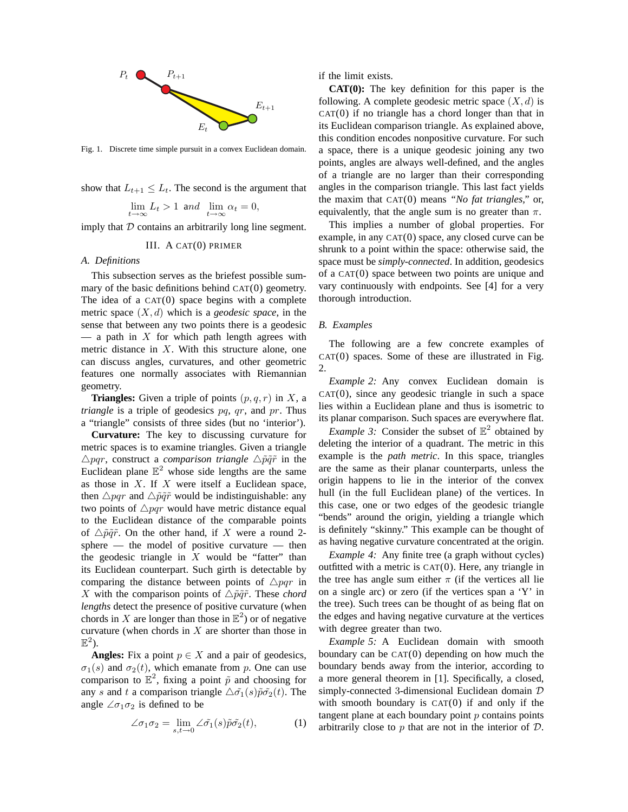

Fig. 1. Discrete time simple pursuit in a convex Euclidean domain.

show that  $L_{t+1} \leq L_t$ . The second is the argument that

$$
\lim_{t \to \infty} L_t > 1 \text{ and } \lim_{t \to \infty} \alpha_t = 0,
$$

imply that  $D$  contains an arbitrarily long line segment.

### III. A CAT(0) PRIMER

## *A. Definitions*

This subsection serves as the briefest possible summary of the basic definitions behind CAT(0) geometry. The idea of a  $CAT(0)$  space begins with a complete metric space (X, d) which is a *geodesic space*, in the sense that between any two points there is a geodesic — a path in  $X$  for which path length agrees with metric distance in  $X$ . With this structure alone, one can discuss angles, curvatures, and other geometric features one normally associates with Riemannian geometry.

**Triangles:** Given a triple of points  $(p, q, r)$  in X, a *triangle* is a triple of geodesics pq, qr, and pr. Thus a "triangle" consists of three sides (but no 'interior').

**Curvature:** The key to discussing curvature for metric spaces is to examine triangles. Given a triangle  $\triangle$ *pqr*, construct a *comparison triangle*  $\triangle$  $\tilde{p}\tilde{q}\tilde{r}$  in the Euclidean plane  $\mathbb{E}^2$  whose side lengths are the same as those in  $X$ . If  $X$  were itself a Euclidean space, then  $\triangle pqr$  and  $\triangle \tilde{p}\tilde{q}\tilde{r}$  would be indistinguishable: any two points of  $\triangle pqr$  would have metric distance equal to the Euclidean distance of the comparable points of  $\triangle \tilde{p}\tilde{q}\tilde{r}$ . On the other hand, if X were a round 2sphere — the model of positive curvature — then the geodesic triangle in  $X$  would be "fatter" than its Euclidean counterpart. Such girth is detectable by comparing the distance between points of  $\triangle pqr$  in X with the comparison points of  $\triangle \tilde{p}\tilde{q}\tilde{r}$ . These *chord lengths* detect the presence of positive curvature (when chords in X are longer than those in  $\mathbb{E}^2$ ) or of negative curvature (when chords in  $X$  are shorter than those in  $\mathbb{E}^2$ ).

**Angles:** Fix a point  $p \in X$  and a pair of geodesics,  $\sigma_1(s)$  and  $\sigma_2(t)$ , which emanate from p. One can use comparison to  $\mathbb{E}^2$ , fixing a point  $\tilde{p}$  and choosing for any s and t a comparison triangle  $\Delta \tilde{\sigma_1}(s)\tilde{p}\tilde{\sigma_2}(t)$ . The angle  $\angle \sigma_1 \sigma_2$  is defined to be

$$
\angle \sigma_1 \sigma_2 = \lim_{s,t \to 0} \angle \tilde{\sigma_1}(s) \tilde{p} \tilde{\sigma_2}(t), \tag{1}
$$

if the limit exists.

**CAT(0):** The key definition for this paper is the following. A complete geodesic metric space  $(X, d)$  is  $CAT(0)$  if no triangle has a chord longer than that in its Euclidean comparison triangle. As explained above, this condition encodes nonpositive curvature. For such a space, there is a unique geodesic joining any two points, angles are always well-defined, and the angles of a triangle are no larger than their corresponding angles in the comparison triangle. This last fact yields the maxim that CAT(0) means *"No fat triangles,"* or, equivalently, that the angle sum is no greater than  $\pi$ .

This implies a number of global properties. For example, in any CAT(0) space, any closed curve can be shrunk to a point within the space: otherwise said, the space must be *simply-connected*. In addition, geodesics of a CAT(0) space between two points are unique and vary continuously with endpoints. See [4] for a very thorough introduction.

### *B. Examples*

The following are a few concrete examples of  $CAT(0)$  spaces. Some of these are illustrated in Fig. 2.

*Example 2:* Any convex Euclidean domain is  $CAT(0)$ , since any geodesic triangle in such a space lies within a Euclidean plane and thus is isometric to its planar comparison. Such spaces are everywhere flat.

*Example 3:* Consider the subset of  $\mathbb{E}^2$  obtained by deleting the interior of a quadrant. The metric in this example is the *path metric*. In this space, triangles are the same as their planar counterparts, unless the origin happens to lie in the interior of the convex hull (in the full Euclidean plane) of the vertices. In this case, one or two edges of the geodesic triangle "bends" around the origin, yielding a triangle which is definitely "skinny." This example can be thought of as having negative curvature concentrated at the origin.

*Example 4:* Any finite tree (a graph without cycles) outfitted with a metric is  $CAT(0)$ . Here, any triangle in the tree has angle sum either  $\pi$  (if the vertices all lie on a single arc) or zero (if the vertices span a 'Y' in the tree). Such trees can be thought of as being flat on the edges and having negative curvature at the vertices with degree greater than two.

*Example 5:* A Euclidean domain with smooth boundary can be CAT(0) depending on how much the boundary bends away from the interior, according to a more general theorem in [1]. Specifically, a closed, simply-connected 3-dimensional Euclidean domain  $D$ with smooth boundary is  $CAT(0)$  if and only if the tangent plane at each boundary point  $p$  contains points arbitrarily close to  $p$  that are not in the interior of  $D$ .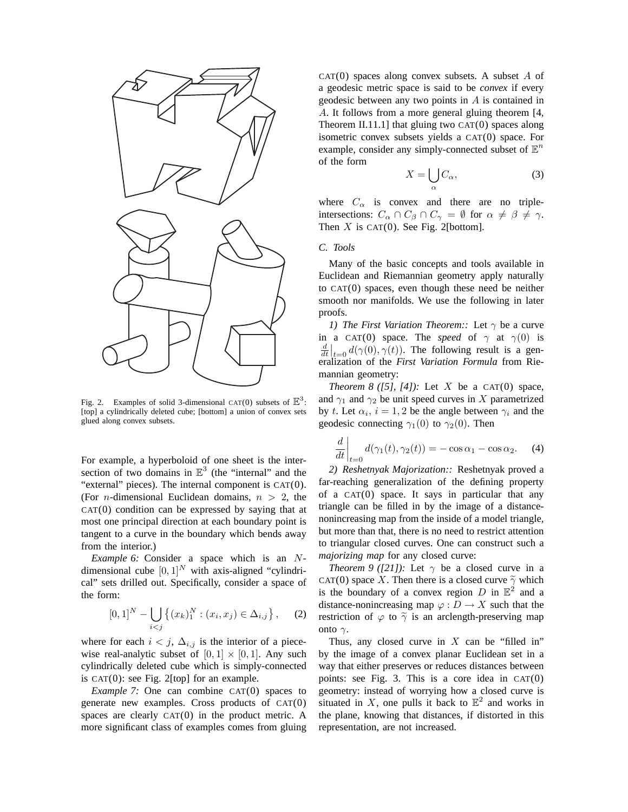

Fig. 2. Examples of solid 3-dimensional CAT(0) subsets of  $\mathbb{E}^3$ : [top] a cylindrically deleted cube; [bottom] a union of convex sets glued along convex subsets.

For example, a hyperboloid of one sheet is the intersection of two domains in  $\mathbb{E}^3$  (the "internal" and the "external" pieces). The internal component is CAT(0). (For *n*-dimensional Euclidean domains,  $n > 2$ , the  $CAT(0)$  condition can be expressed by saying that at most one principal direction at each boundary point is tangent to a curve in the boundary which bends away from the interior.)

*Example 6:* Consider a space which is an Ndimensional cube  $[0, 1]^N$  with axis-aligned "cylindrical" sets drilled out. Specifically, consider a space of the form:

$$
[0,1]^N - \bigcup_{i < j} \left\{ (x_k)_1^N : (x_i, x_j) \in \Delta_{i,j} \right\},\tag{2}
$$

where for each  $i < j$ ,  $\Delta_{i,j}$  is the interior of a piecewise real-analytic subset of  $[0, 1] \times [0, 1]$ . Any such cylindrically deleted cube which is simply-connected is  $CAT(0)$ : see Fig. 2[top] for an example.

*Example 7:* One can combine CAT(0) spaces to generate new examples. Cross products of  $CAT(0)$ spaces are clearly CAT(0) in the product metric. A more significant class of examples comes from gluing  $CAT(0)$  spaces along convex subsets. A subset A of a geodesic metric space is said to be *convex* if every geodesic between any two points in A is contained in A. It follows from a more general gluing theorem [4, Theorem II.11.1] that gluing two  $CAT(0)$  spaces along isometric convex subsets yields a CAT(0) space. For example, consider any simply-connected subset of  $\mathbb{E}^n$ of the form

$$
X = \bigcup_{\alpha} C_{\alpha},\tag{3}
$$

where  $C_{\alpha}$  is convex and there are no tripleintersections:  $C_{\alpha} \cap C_{\beta} \cap C_{\gamma} = \emptyset$  for  $\alpha \neq \beta \neq \gamma$ . Then  $X$  is CAT(0). See Fig. 2[bottom].

## *C. Tools*

Many of the basic concepts and tools available in Euclidean and Riemannian geometry apply naturally to CAT(0) spaces, even though these need be neither smooth nor manifolds. We use the following in later proofs.

*1) The First Variation Theorem::* Let  $\gamma$  be a curve in a CAT(0) space. The *speed* of  $\gamma$  at  $\gamma$ (0) is  $\frac{d}{dt}\Big|_{t=0} d(\gamma(0), \gamma(t))$ . The following result is a generalization of the *First Variation Formula* from Riemannian geometry:

*Theorem 8 ([5], [4]):* Let X be a CAT(0) space, and  $\gamma_1$  and  $\gamma_2$  be unit speed curves in X parametrized by t. Let  $\alpha_i$ ,  $i = 1, 2$  be the angle between  $\gamma_i$  and the geodesic connecting  $\gamma_1(0)$  to  $\gamma_2(0)$ . Then

$$
\frac{d}{dt}\bigg|_{t=0}d(\gamma_1(t),\gamma_2(t)) = -\cos\alpha_1 - \cos\alpha_2. \quad (4)
$$

*2) Reshetnyak Majorization::* Reshetnyak proved a far-reaching generalization of the defining property of a  $CAT(0)$  space. It says in particular that any triangle can be filled in by the image of a distancenonincreasing map from the inside of a model triangle, but more than that, there is no need to restrict attention to triangular closed curves. One can construct such a *majorizing map* for any closed curve:

*Theorem 9 ([21]):* Let  $\gamma$  be a closed curve in a CAT(0) space X. Then there is a closed curve  $\tilde{\gamma}$  which is the boundary of a convex region D in  $\mathbb{E}^2$  and a distance-nonincreasing map  $\varphi : D \to X$  such that the restriction of  $\varphi$  to  $\tilde{\gamma}$  is an arclength-preserving map onto  $γ$ .

Thus, any closed curve in  $X$  can be "filled in" by the image of a convex planar Euclidean set in a way that either preserves or reduces distances between points: see Fig. 3. This is a core idea in  $CAT(0)$ geometry: instead of worrying how a closed curve is situated in X, one pulls it back to  $\mathbb{E}^2$  and works in the plane, knowing that distances, if distorted in this representation, are not increased.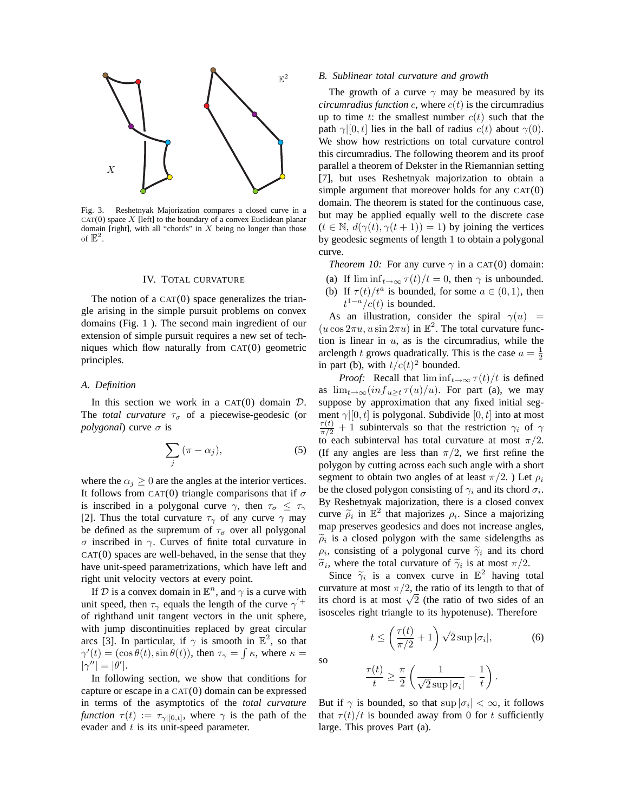

Fig. 3. Reshetnyak Majorization compares a closed curve in a  $CAT(0)$  space X [left] to the boundary of a convex Euclidean planar domain [right], with all "chords" in  $X$  being no longer than those of  $\mathbb{E}^2$ .

#### IV. TOTAL CURVATURE

The notion of a  $CAT(0)$  space generalizes the triangle arising in the simple pursuit problems on convex domains (Fig. 1 ). The second main ingredient of our extension of simple pursuit requires a new set of techniques which flow naturally from CAT(0) geometric principles.

### *A. Definition*

In this section we work in a CAT $(0)$  domain  $D$ . The *total curvature*  $\tau_{\sigma}$  of a piecewise-geodesic (or *polygonal*) curve  $\sigma$  is

$$
\sum_{j} (\pi - \alpha_j), \tag{5}
$$

where the  $\alpha_j \geq 0$  are the angles at the interior vertices. It follows from CAT(0) triangle comparisons that if  $\sigma$ is inscribed in a polygonal curve  $\gamma$ , then  $\tau_{\sigma} \leq \tau_{\gamma}$ [2]. Thus the total curvature  $\tau_{\gamma}$  of any curve  $\gamma$  may be defined as the supremum of  $\tau_{\sigma}$  over all polygonal σ inscribed in γ. Curves of finite total curvature in  $CAT(0)$  spaces are well-behaved, in the sense that they have unit-speed parametrizations, which have left and right unit velocity vectors at every point.

If D is a convex domain in  $\mathbb{E}^n$ , and  $\gamma$  is a curve with unit speed, then  $\tau_{\gamma}$  equals the length of the curve  $\gamma'$ <sup>+</sup> of righthand unit tangent vectors in the unit sphere, with jump discontinuities replaced by great circular arcs [3]. In particular, if  $\gamma$  is smooth in  $\mathbb{E}^2$ , so that  $\gamma'(t) = (\cos \theta(t), \sin \theta(t))$ , then  $\tau_{\gamma} = \int \kappa$ , where  $\kappa =$  $|\gamma''| = |\theta'|$ .

In following section, we show that conditions for capture or escape in a CAT(0) domain can be expressed in terms of the asymptotics of the *total curvature function*  $\tau(t) := \tau_{\gamma|[0,t]},$  where  $\gamma$  is the path of the evader and  $t$  is its unit-speed parameter.

#### *B. Sublinear total curvature and growth*

The growth of a curve  $\gamma$  may be measured by its *circumradius function* c, where  $c(t)$  is the circumradius up to time t: the smallest number  $c(t)$  such that the path  $\gamma$ [0, t] lies in the ball of radius  $c(t)$  about  $\gamma$ (0). We show how restrictions on total curvature control this circumradius. The following theorem and its proof parallel a theorem of Dekster in the Riemannian setting [7], but uses Reshetnyak majorization to obtain a simple argument that moreover holds for any CAT(0) domain. The theorem is stated for the continuous case, but may be applied equally well to the discrete case  $(t \in \mathbb{N}, d(\gamma(t), \gamma(t+1)) = 1)$  by joining the vertices by geodesic segments of length 1 to obtain a polygonal curve.

*Theorem 10:* For any curve  $\gamma$  in a CAT(0) domain:

(a) If  $\liminf_{t\to\infty} \tau(t)/t = 0$ , then  $\gamma$  is unbounded. (b) If  $\tau(t)/t^a$  is bounded, for some  $a \in (0,1)$ , then  $t^{1-a}/c(t)$  is bounded.

As an illustration, consider the spiral  $\gamma(u)$  =  $(u \cos 2\pi u, u \sin 2\pi u)$  in  $\mathbb{E}^2$ . The total curvature function is linear in  $u$ , as is the circumradius, while the arclength t grows quadratically. This is the case  $a = \frac{1}{2}$ in part (b), with  $t/c(t)^2$  bounded.

*Proof:* Recall that  $\liminf_{t\to\infty} \tau(t)/t$  is defined as  $\lim_{t\to\infty} (inf_{u\geq t} \tau(u)/u)$ . For part (a), we may suppose by approximation that any fixed initial segment  $\gamma|[0, t]$  is polygonal. Subdivide  $[0, t]$  into at most  $\frac{\tau(t)}{\pi/2} + 1$  subintervals so that the restriction  $\gamma_i$  of  $\gamma$ to each subinterval has total curvature at most  $\pi/2$ . (If any angles are less than  $\pi/2$ , we first refine the polygon by cutting across each such angle with a short segment to obtain two angles of at least  $\pi/2$ . ) Let  $\rho_i$ be the closed polygon consisting of  $\gamma_i$  and its chord  $\sigma_i$ . By Reshetnyak majorization, there is a closed convex curve  $\tilde{\rho}_i$  in  $\mathbb{E}^2$  that majorizes  $\rho_i$ . Since a majorizing map preserves geodesics and does not increase angles,  $\widetilde{\rho}_i$  is a closed polygon with the same sidelengths as  $\rho_i$ , consisting of a polygonal curve  $\tilde{\gamma}_i$  and its chord  $\widetilde{\sigma}_i$ , where the total curvature of  $\widetilde{\gamma}_i$  is at most  $\pi/2$ .

Since  $\widetilde{\gamma}_i$  is a convex curve in  $\mathbb{E}^2$  having total curvature at most  $\pi/2$ , the ratio of its length to that of its chord is at most  $\sqrt{2}$  (the ratio of two sides of an isosceles right triangle to its hypotenuse). Therefore

$$
t \le \left(\frac{\tau(t)}{\pi/2} + 1\right) \sqrt{2} \sup |\sigma_i|,
$$
 (6)

$$
\frac{\tau(t)}{t} \ge \frac{\pi}{2} \left( \frac{1}{\sqrt{2} \sup |\sigma_i|} - \frac{1}{t} \right).
$$

so

But if  $\gamma$  is bounded, so that sup  $|\sigma_i| < \infty$ , it follows that  $\tau(t)/t$  is bounded away from 0 for t sufficiently large. This proves Part (a).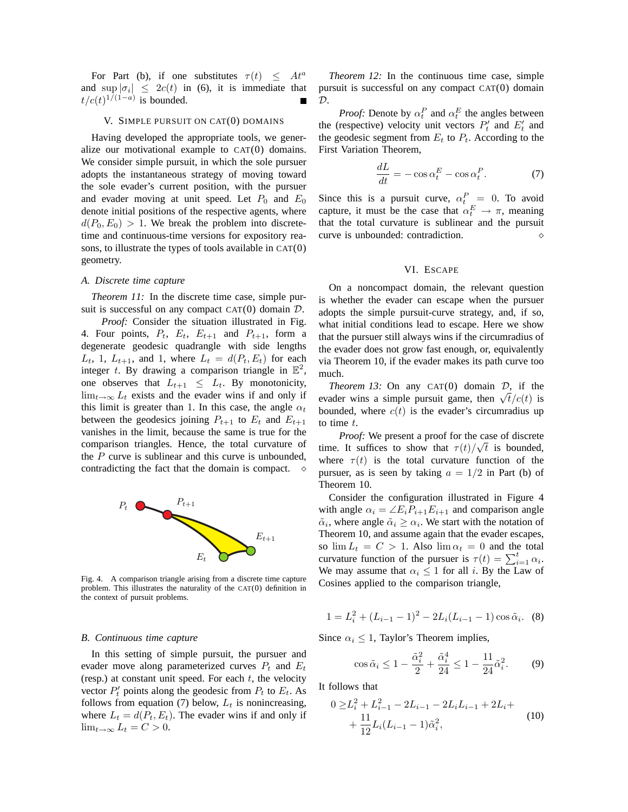For Part (b), if one substitutes  $\tau(t) \leq At^a$ and  $\sup_{t \to \infty} |\sigma_i| \leq 2c(t)$  in (6), it is immediate that  $t/c(t)^{1/(1-a)}$  is bounded.

#### V. SIMPLE PURSUIT ON CAT(0) DOMAINS

Having developed the appropriate tools, we generalize our motivational example to CAT(0) domains. We consider simple pursuit, in which the sole pursuer adopts the instantaneous strategy of moving toward the sole evader's current position, with the pursuer and evader moving at unit speed. Let  $P_0$  and  $E_0$ denote initial positions of the respective agents, where  $d(P_0, E_0) > 1$ . We break the problem into discretetime and continuous-time versions for expository reasons, to illustrate the types of tools available in CAT(0) geometry.

## *A. Discrete time capture*

*Theorem 11:* In the discrete time case, simple pursuit is successful on any compact  $CAT(0)$  domain  $D$ .

*Proof:* Consider the situation illustrated in Fig. 4. Four points,  $P_t$ ,  $E_t$ ,  $E_{t+1}$  and  $P_{t+1}$ , form a degenerate geodesic quadrangle with side lengths  $L_t$ , 1,  $L_{t+1}$ , and 1, where  $L_t = d(P_t, E_t)$  for each integer t. By drawing a comparison triangle in  $\mathbb{E}^2$ , one observes that  $L_{t+1} \leq L_t$ . By monotonicity,  $\lim_{t\to\infty} L_t$  exists and the evader wins if and only if this limit is greater than 1. In this case, the angle  $\alpha_t$ between the geodesics joining  $P_{t+1}$  to  $E_t$  and  $E_{t+1}$ vanishes in the limit, because the same is true for the comparison triangles. Hence, the total curvature of the  $P$  curve is sublinear and this curve is unbounded, contradicting the fact that the domain is compact.  $\diamond$ 



Fig. 4. A comparison triangle arising from a discrete time capture problem. This illustrates the naturality of the CAT(0) definition in the context of pursuit problems.

#### *B. Continuous time capture*

In this setting of simple pursuit, the pursuer and evader move along parameterized curves  $P_t$  and  $E_t$ (resp.) at constant unit speed. For each  $t$ , the velocity vector  $P'_t$  points along the geodesic from  $P_t$  to  $E_t$ . As follows from equation (7) below,  $L_t$  is nonincreasing, where  $L_t = d(P_t, E_t)$ . The evader wins if and only if  $\lim_{t\to\infty} L_t = C > 0.$ 

*Theorem 12:* In the continuous time case, simple pursuit is successful on any compact CAT(0) domain  $\mathcal{D}$ .

*Proof:* Denote by  $\alpha_t^P$  and  $\alpha_t^E$  the angles between the (respective) velocity unit vectors  $P'_t$  and  $E'_t$  and the geodesic segment from  $E_t$  to  $P_t$ . According to the First Variation Theorem,

$$
\frac{dL}{dt} = -\cos\alpha_t^E - \cos\alpha_t^P. \tag{7}
$$

Since this is a pursuit curve,  $\alpha_t^P = 0$ . To avoid capture, it must be the case that  $\alpha_t^E \to \pi$ , meaning that the total curvature is sublinear and the pursuit curve is unbounded: contradiction.

#### VI. ESCAPE

On a noncompact domain, the relevant question is whether the evader can escape when the pursuer adopts the simple pursuit-curve strategy, and, if so, what initial conditions lead to escape. Here we show that the pursuer still always wins if the circumradius of the evader does not grow fast enough, or, equivalently via Theorem 10, if the evader makes its path curve too much.

*Theorem 13:* On any CAT(0) domain D, if the evader wins a simple pursuit game, then  $\sqrt{t}/c(t)$  is bounded, where  $c(t)$  is the evader's circumradius up to time t.

*Proof:* We present a proof for the case of discrete time. It suffices to show that  $\tau(t)/\sqrt{t}$  is bounded, where  $\tau(t)$  is the total curvature function of the pursuer, as is seen by taking  $a = 1/2$  in Part (b) of Theorem 10.

Consider the configuration illustrated in Figure 4 with angle  $\alpha_i = \angle E_i P_{i+1} E_{i+1}$  and comparison angle  $\tilde{\alpha}_i$ , where angle  $\tilde{\alpha}_i \geq \alpha_i$ . We start with the notation of Theorem 10, and assume again that the evader escapes, so  $\lim L_t = C > 1$ . Also  $\lim \alpha_t = 0$  and the total curvature function of the pursuer is  $\tau(t) = \sum_{i=1}^{t} \alpha_i$ . We may assume that  $\alpha_i \leq 1$  for all i. By the Law of Cosines applied to the comparison triangle,

$$
1 = L_i^2 + (L_{i-1} - 1)^2 - 2L_i(L_{i-1} - 1)\cos\tilde{\alpha}_i.
$$
 (8)

Since  $\alpha_i \leq 1$ , Taylor's Theorem implies,

$$
\cos \tilde{\alpha}_i \le 1 - \frac{\tilde{\alpha}_i^2}{2} + \frac{\tilde{\alpha}_i^4}{24} \le 1 - \frac{11}{24} \tilde{\alpha}_i^2. \tag{9}
$$

It follows that

$$
0 \geq L_i^2 + L_{i-1}^2 - 2L_{i-1} - 2L_iL_{i-1} + 2L_i +
$$
  
+ 
$$
\frac{11}{12}L_i(L_{i-1} - 1)\tilde{\alpha}_i^2,
$$
 (10)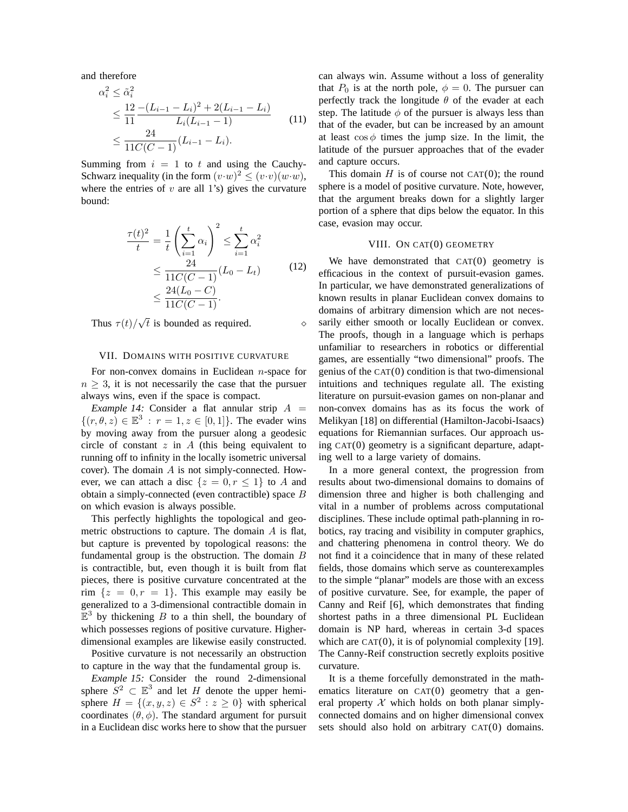and therefore

$$
\alpha_i^2 \leq \tilde{\alpha}_i^2
$$
  
\n
$$
\leq \frac{12 - (L_{i-1} - L_i)^2 + 2(L_{i-1} - L_i)}{L_i(L_{i-1} - 1)}
$$
  
\n
$$
\leq \frac{24}{11C(C - 1)}(L_{i-1} - L_i).
$$
\n(11)

Summing from  $i = 1$  to t and using the Cauchy-Schwarz inequality (in the form  $(v \cdot w)^2 \leq (v \cdot v)(w \cdot w)$ , where the entries of  $v$  are all 1's) gives the curvature bound:

$$
\frac{\tau(t)^2}{t} = \frac{1}{t} \left( \sum_{i=1}^t \alpha_i \right)^2 \le \sum_{i=1}^t \alpha_i^2
$$
  
\n
$$
\le \frac{24}{11C(C-1)} (L_0 - L_t)
$$
  
\n
$$
\le \frac{24(L_0 - C)}{11C(C-1)}.
$$
 (12)

Thus  $\tau(t)/\sqrt{t}$  is bounded as required.

## VII. DOMAINS WITH POSITIVE CURVATURE

For non-convex domains in Euclidean  $n$ -space for  $n \geq 3$ , it is not necessarily the case that the pursuer always wins, even if the space is compact.

*Example 14:* Consider a flat annular strip  $A =$  $\{(r,\theta,z)\in\mathbb{E}^3 : r = 1, z \in [0,1]\}.$  The evader wins by moving away from the pursuer along a geodesic circle of constant  $z$  in  $\overline{A}$  (this being equivalent to running off to infinity in the locally isometric universal cover). The domain A is not simply-connected. However, we can attach a disc  $\{z = 0, r \le 1\}$  to A and obtain a simply-connected (even contractible) space B on which evasion is always possible.

This perfectly highlights the topological and geometric obstructions to capture. The domain A is flat, but capture is prevented by topological reasons: the fundamental group is the obstruction. The domain  $B$ is contractible, but, even though it is built from flat pieces, there is positive curvature concentrated at the rim  $\{z = 0, r = 1\}$ . This example may easily be generalized to a 3-dimensional contractible domain in  $\mathbb{E}^3$  by thickening  $B$  to a thin shell, the boundary of which possesses regions of positive curvature. Higherdimensional examples are likewise easily constructed.

Positive curvature is not necessarily an obstruction to capture in the way that the fundamental group is.

*Example 15:* Consider the round 2-dimensional sphere  $S^2 \subset \mathbb{E}^3$  and let H denote the upper hemisphere  $H = \{(x, y, z) \in S^2 : z \ge 0\}$  with spherical coordinates  $(\theta, \phi)$ . The standard argument for pursuit in a Euclidean disc works here to show that the pursuer can always win. Assume without a loss of generality that  $P_0$  is at the north pole,  $\phi = 0$ . The pursuer can perfectly track the longitude  $\theta$  of the evader at each step. The latitude  $\phi$  of the pursuer is always less than that of the evader, but can be increased by an amount at least  $\cos \phi$  times the jump size. In the limit, the latitude of the pursuer approaches that of the evader and capture occurs.

This domain  $H$  is of course not CAT(0); the round sphere is a model of positive curvature. Note, however, that the argument breaks down for a slightly larger portion of a sphere that dips below the equator. In this case, evasion may occur.

### VIII. ON CAT(0) GEOMETRY

We have demonstrated that  $CAT(0)$  geometry is efficacious in the context of pursuit-evasion games. In particular, we have demonstrated generalizations of known results in planar Euclidean convex domains to domains of arbitrary dimension which are not necessarily either smooth or locally Euclidean or convex. The proofs, though in a language which is perhaps unfamiliar to researchers in robotics or differential games, are essentially "two dimensional" proofs. The genius of the CAT(0) condition is that two-dimensional intuitions and techniques regulate all. The existing literature on pursuit-evasion games on non-planar and non-convex domains has as its focus the work of Melikyan [18] on differential (Hamilton-Jacobi-Isaacs) equations for Riemannian surfaces. Our approach using CAT(0) geometry is a significant departure, adapting well to a large variety of domains.

In a more general context, the progression from results about two-dimensional domains to domains of dimension three and higher is both challenging and vital in a number of problems across computational disciplines. These include optimal path-planning in robotics, ray tracing and visibility in computer graphics, and chattering phenomena in control theory. We do not find it a coincidence that in many of these related fields, those domains which serve as counterexamples to the simple "planar" models are those with an excess of positive curvature. See, for example, the paper of Canny and Reif [6], which demonstrates that finding shortest paths in a three dimensional PL Euclidean domain is NP hard, whereas in certain 3-d spaces which are  $CAT(0)$ , it is of polynomial complexity [19]. The Canny-Reif construction secretly exploits positive curvature.

It is a theme forcefully demonstrated in the mathematics literature on CAT(0) geometry that a general property  $X$  which holds on both planar simplyconnected domains and on higher dimensional convex sets should also hold on arbitrary CAT(0) domains.